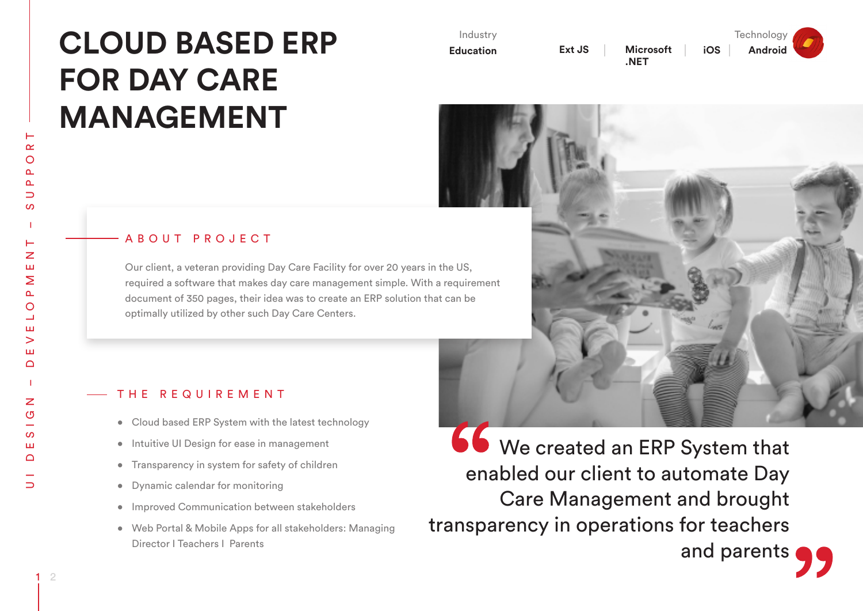# **CLOUD BASED ERP FOR DAY CARE MANAGEMENT**

| Industry         |        |  |
|------------------|--------|--|
| <b>Education</b> | Ext JS |  |



**Technology iOS Android**

and parents

## ABOUT PROJECT

Our client, a veteran providing Day Care Facility for over 20 years in the US, required a software that makes day care management simple. With a requirement document of 350 pages, their idea was to create an ERP solution that can be optimally utilized by other such Day Care Centers.

#### THE REQUIREMENT

- Cloud based ERP System with the latest technology
- • Intuitive UI Design for ease in management
- Transparency in system for safety of children
- • Dynamic calendar for monitoring
- • Improved Communication between stakeholders
- • Web Portal & Mobile Apps for all stakeholders: Managing Director I Teachers I Parents

**66** We created an ERP System that enabled our client to automate Day Care Management and brought transparency in operations for teachers